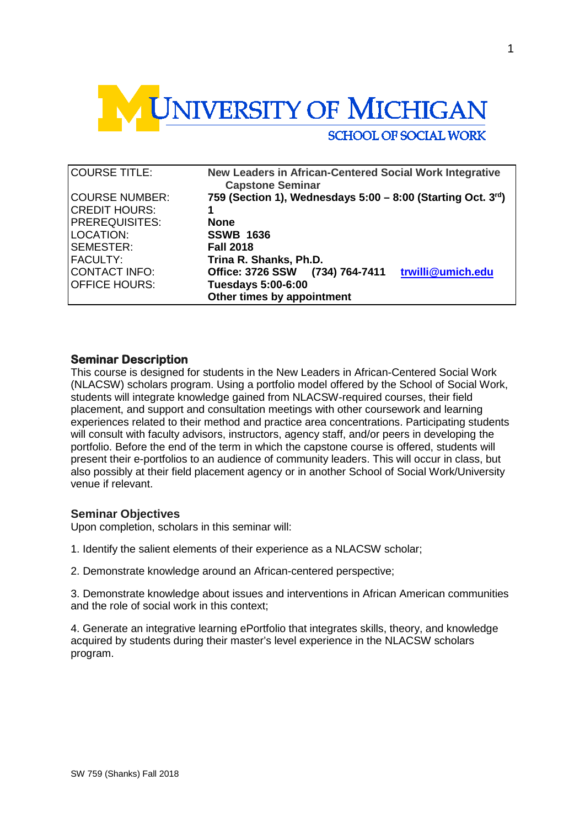

| <b>COURSE TITLE:</b>  | New Leaders in African-Centered Social Work Integrative<br><b>Capstone Seminar</b> |
|-----------------------|------------------------------------------------------------------------------------|
| COURSE NUMBER:        | 759 (Section 1), Wednesdays 5:00 - 8:00 (Starting Oct. 3rd)                        |
| CREDIT HOURS:         |                                                                                    |
| <b>PREREQUISITES:</b> | <b>None</b>                                                                        |
| LOCATION:             | <b>SSWB 1636</b>                                                                   |
| SEMESTER:             | <b>Fall 2018</b>                                                                   |
| FACULTY:              | Trina R. Shanks, Ph.D.                                                             |
| CONTACT INFO:         | trwilli@umich.edu<br>Office: 3726 SSW<br>(734) 764-7411                            |
| OFFICE HOURS:         | <b>Tuesdays 5:00-6:00</b>                                                          |
|                       | Other times by appointment                                                         |

## **Seminar Description**

This course is designed for students in the New Leaders in African-Centered Social Work (NLACSW) scholars program. Using a portfolio model offered by the School of Social Work, students will integrate knowledge gained from NLACSW-required courses, their field placement, and support and consultation meetings with other coursework and learning experiences related to their method and practice area concentrations. Participating students will consult with faculty advisors, instructors, agency staff, and/or peers in developing the portfolio. Before the end of the term in which the capstone course is offered, students will present their e-portfolios to an audience of community leaders. This will occur in class, but also possibly at their field placement agency or in another School of Social Work/University venue if relevant.

### **Seminar Objectives**

Upon completion, scholars in this seminar will:

- 1. Identify the salient elements of their experience as a NLACSW scholar;
- 2. Demonstrate knowledge around an African-centered perspective;

3. Demonstrate knowledge about issues and interventions in African American communities and the role of social work in this context;

4. Generate an integrative learning ePortfolio that integrates skills, theory, and knowledge acquired by students during their master's level experience in the NLACSW scholars program.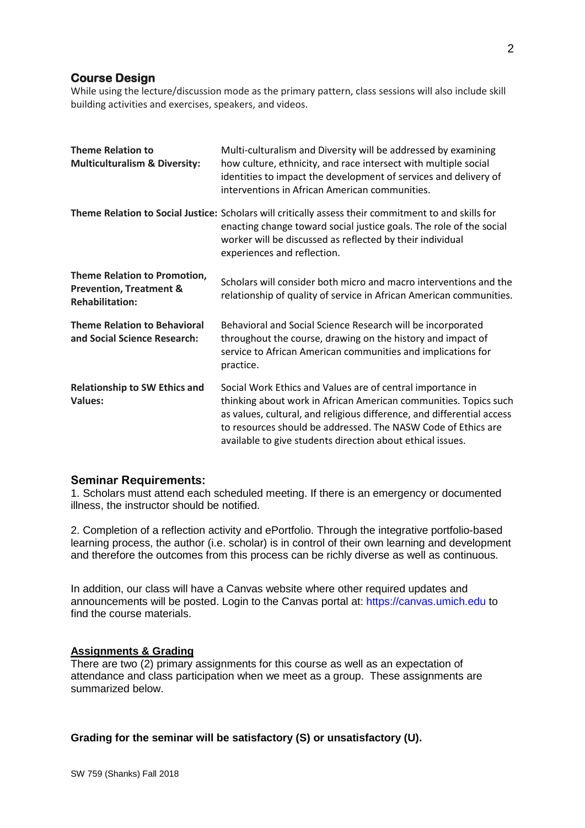## **Course Design**

While using the lecture/discussion mode as the primary pattern, class sessions will also include skill building activities and exercises, speakers, and videos.

| <b>Theme Relation to</b><br><b>Multiculturalism &amp; Diversity:</b>                                | Multi-culturalism and Diversity will be addressed by examining<br>how culture, ethnicity, and race intersect with multiple social<br>identities to impact the development of services and delivery of<br>interventions in African American communities.                                                                                 |
|-----------------------------------------------------------------------------------------------------|-----------------------------------------------------------------------------------------------------------------------------------------------------------------------------------------------------------------------------------------------------------------------------------------------------------------------------------------|
|                                                                                                     | Theme Relation to Social Justice: Scholars will critically assess their commitment to and skills for<br>enacting change toward social justice goals. The role of the social<br>worker will be discussed as reflected by their individual<br>experiences and reflection.                                                                 |
| <b>Theme Relation to Promotion,</b><br><b>Prevention, Treatment &amp;</b><br><b>Rehabilitation:</b> | Scholars will consider both micro and macro interventions and the<br>relationship of quality of service in African American communities.                                                                                                                                                                                                |
| <b>Theme Relation to Behavioral</b><br>and Social Science Research:                                 | Behavioral and Social Science Research will be incorporated<br>throughout the course, drawing on the history and impact of<br>service to African American communities and implications for<br>practice.                                                                                                                                 |
| <b>Relationship to SW Ethics and</b><br><b>Values:</b>                                              | Social Work Ethics and Values are of central importance in<br>thinking about work in African American communities. Topics such<br>as values, cultural, and religious difference, and differential access<br>to resources should be addressed. The NASW Code of Ethics are<br>available to give students direction about ethical issues. |

## **Seminar Requirements:**

1. Scholars must attend each scheduled meeting. If there is an emergency or documented illness, the instructor should be notified.

2. Completion of a reflection activity and ePortfolio. Through the integrative portfolio-based learning process, the author (i.e. scholar) is in control of their own learning and development and therefore the outcomes from this process can be richly diverse as well as continuous.

In addition, our class will have a Canvas website where other required updates and announcements will be posted. Login to the Canvas portal at: https://canvas.umich.edu to find the course materials.

#### **Assignments & Grading**

There are two (2) primary assignments for this course as well as an expectation of attendance and class participation when we meet as a group. These assignments are summarized below.

# **Grading for the seminar will be satisfactory (S) or unsatisfactory (U).**

2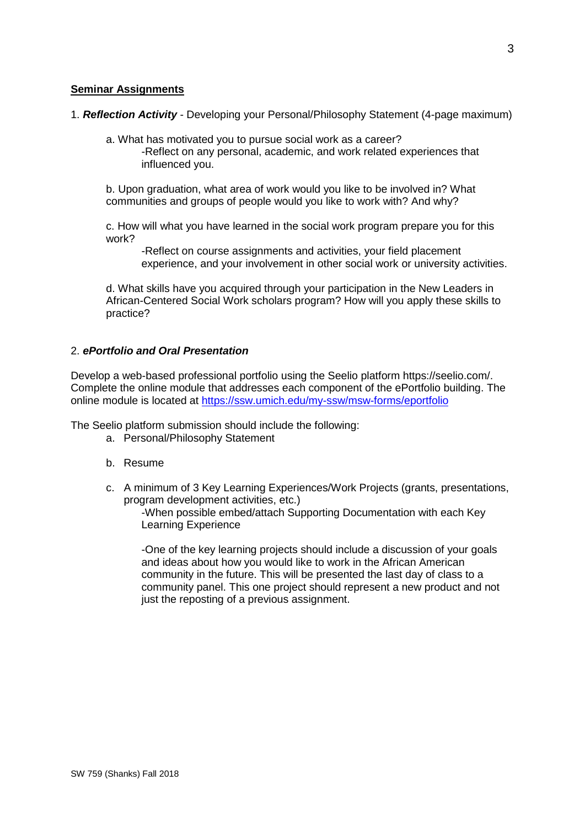## **Seminar Assignments**

- 1. *Reflection Activity* Developing your Personal/Philosophy Statement (4-page maximum)
	- a. What has motivated you to pursue social work as a career? -Reflect on any personal, academic, and work related experiences that influenced you.

b. Upon graduation, what area of work would you like to be involved in? What communities and groups of people would you like to work with? And why?

c. How will what you have learned in the social work program prepare you for this work?

-Reflect on course assignments and activities, your field placement experience, and your involvement in other social work or university activities.

d. What skills have you acquired through your participation in the New Leaders in African-Centered Social Work scholars program? How will you apply these skills to practice?

### 2. *ePortfolio and Oral Presentation*

Develop a web-based professional portfolio using the Seelio platform https://seelio.com/. Complete the online module that addresses each component of the ePortfolio building. The online module is located at<https://ssw.umich.edu/my-ssw/msw-forms/eportfolio>

The Seelio platform submission should include the following:

- a. Personal/Philosophy Statement
- b. Resume
- c. A minimum of 3 Key Learning Experiences/Work Projects (grants, presentations, program development activities, etc.)

-When possible embed/attach Supporting Documentation with each Key Learning Experience

-One of the key learning projects should include a discussion of your goals and ideas about how you would like to work in the African American community in the future. This will be presented the last day of class to a community panel. This one project should represent a new product and not just the reposting of a previous assignment.